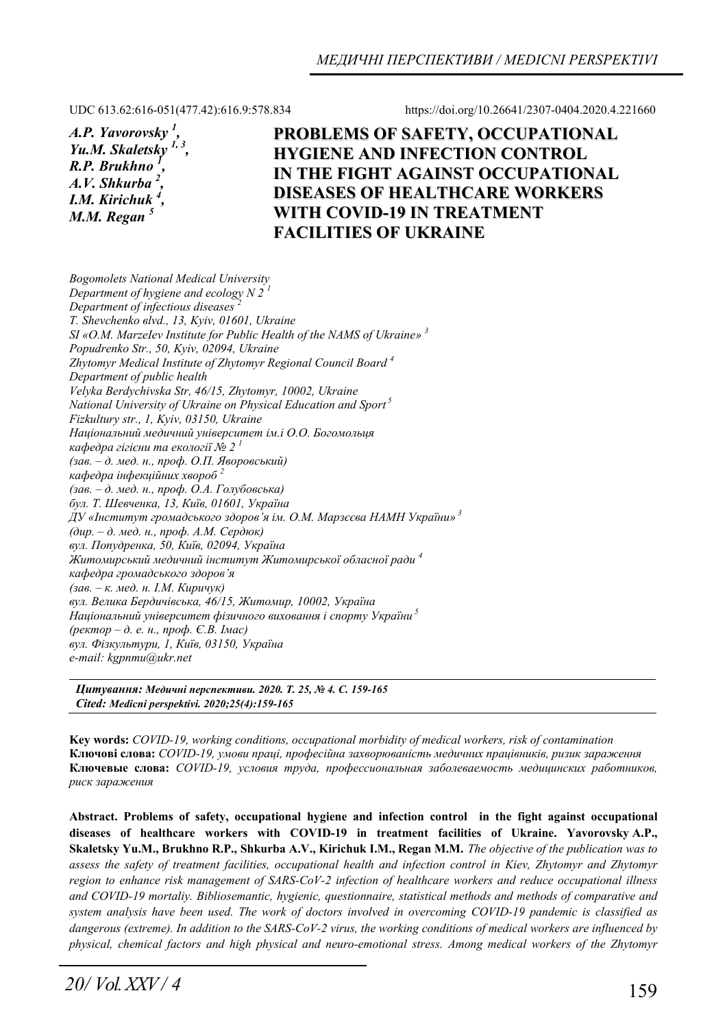UDC 613.62:616-051(477.42):616.9:578.834 https://doi.org/10.26641/2307-0404.2020.4.221660

*A.P. Yavorovsky 1 , Yu.M. Skaletsky R.P. Brukhno 1 , A.V. Shkurba <sup>2</sup> , I.M. Kirichuk 4 , М.М. Regan 5* 

**PROBLEMS OF SAFETY, OCCUPATIONAL HYGIENE AND INFECTION CONTROL IN THE FIGHT AGAINST OCCUPATIONAL DISEASES OF HEALTHCARE WORKERS WITH COVID-19 IN TREATMENT FACILITIES OF UKRAINE**

*Bogomolets National Medical University Department of hygiene and ecology N 2 1 Department of infectious diseases T. Shevchenko вlvd., 13, Kyiv, 01601, Ukraine SI «O.M. MarzeIev Institute for Public Health of the NAMS of Ukraine» 3 Popudrenko Str., 50, Kyiv, 02094, Ukraine Zhytomyr Medical Institute of Zhytomyr Regional Council Board 4 Department of public health Velyka Berdychivska Str, 46/15, Zhytomyr, 10002, Ukraine National University of Ukraine on Physical Education and Sport 5 Fizkultury str., 1, Kyiv, 03150, Ukraine Національний медичний університет ім.і О.О. Богомольця кафедра гігієни та екології № 2 1 (зав. – д. мед. н., проф. О.П. Яворовський) кафедра інфекційних хвороб <sup>2</sup> (зав. – д. мед. н., проф. О.А. Голубовська) бул. Т. Шевченка, 13, Київ, 01601, Україна ДУ «Інститут громадського здоров'я ім. О.М. Марзєєва НАМН України»<sup>3</sup> (дир. – д. мед. н., проф. А.М. Сердюк) вул. Попудренка, 50, Київ, 02094, Україна Житомирський медичний інститут Житомирської обласної ради <sup>4</sup> кафедра громадського здоров'я (зав. – к. мед. н. І.М. Киричук) вул. Велика Бердичівська, 46/15, Житомир, 10002, Україна Національний університет фізичного виховання і спорту України<sup>5</sup> (ректор – д. е. н., проф. Є.В. Імас) вул. Фізкультури, 1, Київ, 03150, Україна e-mail: kgpnmu@ukr.net* 

*Цитування: Медичні перспективи. 2020. Т. 25, № 4. С. 159-165 Cited: Medicni perspektivi. 2020;25(4):159-165*

**Key words:** *COVID-19, working conditions, occupational morbidity of medical workers, risk of contamination* **Ключові слова:** *COVID-19, умови праці, професійна захворюваність медичних працівників, ризик зараження* **Ключевые слова:** *COVID-19, условия труда, профессиональная заболеваемость медицинских работников, риск заражения*

**Abstract. Problems of safety, occupational hygiene and infection control in the fight against occupational diseases of healthcare workers with COVID-19 in treatment facilities of Ukraine. Yavorovsky A.P., Skaletsky Yu.M., Brukhno R.P., Shkurba A.V., Kirichuk I.M., Regan М.М.** *The objective of the publication was to*  assess the safety of treatment facilities, occupational health and infection control in Kiev, Zhytomyr and Zhytomyr *region to enhance risk management of SARS-CoV-2 infection of healthcare workers and reduce occupational illness and COVID-19 mortaliy. Bibliosemantic, hygienic, questionnaire, statistical methods and methods of comparative and system analysis have been used. The work of doctors involved in overcoming COVID-19 pandemic is classified as dangerous (extreme). In addition to the SARS-CoV-2 virus, the working conditions of medical workers are influenced by physical, chemical factors and high physical and neuro-emotional stress. Among medical workers of the Zhytomyr*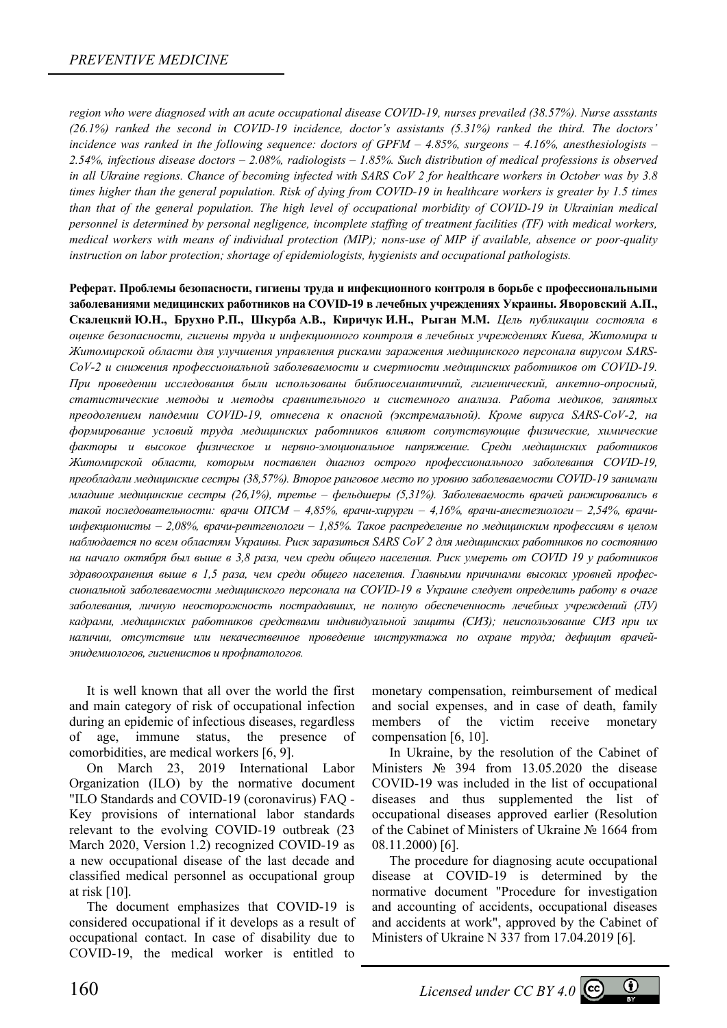*region who were diagnosed with an acute occupational disease COVID-19, nurses prevailed (38.57%). Nurse assstants (26.1%) ranked the second in COVID-19 incidence, doctor's assistants (5.31%) ranked the third. The doctors' incidence was ranked in the following sequence: doctors of GPFM – 4.85%, surgeons – 4.16%, anesthesiologists – 2.54%, infectious disease doctors – 2.08%, radiologists – 1.85%. Such distribution of medical professions is observed in all Ukraine regions. Chance of becoming infected with SARS CoV 2 for healthcare workers in October was by 3.8 times higher than the general population. Risk of dying from COVID-19 in healthcare workers is greater by 1.5 times than that of the general population. The high level of occupational morbidity of COVID-19 in Ukrainian medical personnel is determined by personal negligence, incomplete staffing of treatment facilities (TF) with medical workers, medical workers with means of individual protection (MIP); nons-use of MIP if available, absence or poor-quality instruction on labor protection; shortage of epidemiologists, hygienists and occupational pathologists.* 

**Реферат. Проблемы безопасности, гигиены труда и инфекционного контроля в борьбе с профессиональными заболеваниями медицинских работников на COVID-19 в лечебных учреждениях Украины. Яворовский А.П., Скалецкий Ю.Н., Брухно Р.П., Шкурба А.В., Киричук И.Н., Рыган М.М.** *Цель публикации состояла в оценке безопасности, гигиены труда и инфекционного контроля в лечебных учреждениях Киева, Житомира и Житомирской области для улучшения управления рисками заражения медицинского персонала вирусом SARS-CoV-2 и снижения профессиональной заболеваемости и смертности медицинских работников от COVID-19. При проведении исследования были использованы библиосемантичний, гигиенический, анкетно-опросный, статистические методы и методы сравнительного и системного анализа. Работа медиков, занятых преодолением пандемии COVID-19, отнесена к опасной (экстремальной). Кроме вируса SARS-CoV-2, на формирование условий труда медицинских работников влияют сопутствующие физические, химические факторы и высокое физическое и нервно-эмоциональное напряжение. Среди медицинских работников Житомирской области, которым поставлен диагноз острого профессионального заболевания COVID-19, преобладали медицинские сестры (38,57%). Второе ранговое место по уровню заболеваемости COVID-19 занимали младшие медицинские сестры (26,1%), третье – фельдшеры (5,31%). Заболеваемость врачей ранжировались в такой последовательности: врачи ОПСМ – 4,85%, врачи-хирурги – 4,16%, врачи-анестезиологи – 2,54%, врачиинфекционисты – 2,08%, врачи-рентгенологи – 1,85%. Такое распределение по медицинским профессиям в целом наблюдается по всем областям Украины. Риск заразиться SARS CoV 2 для медицинских работников по состоянию* на начало октября был выше в 3,8 раза, чем среди обшего населения. Риск умереть от COVID 19 у работников *здравоохранения выше в 1,5 раза, чем среди общего населения. Главными причинами высоких уровней профессиональной заболеваемости медицинского персонала на COVID-19 в Украине следует определить работу в очаге заболевания, личную неосторожность пострадавших, не полную обеспеченность лечебных учреждений (ЛУ) кадрами, медицинских работников средствами индивидуальной защиты (СИЗ); неиспользование СИЗ при их наличии, отсутствие или некачественное проведение инструктажа по охране труда; дефицит врачейэпидемиологов, гигиенистов и профпатологов.* 

It is well known that all over the world the first and main category of risk of occupational infection during an epidemic of infectious diseases, regardless of age, immune status, the presence of comorbidities, are medical workers [6, 9].

On March 23, 2019 International Labor Organization (ILO) by the normative document "ILO Standards and COVID-19 (coronavirus) FAQ - Key provisions of international labor standards relevant to the evolving COVID-19 outbreak (23 March 2020, Version 1.2) recognized COVID-19 as a new occupational disease of the last decade and classified medical personnel as occupational group at risk [10].

The document emphasizes that COVID-19 is considered occupational if it develops as a result of occupational contact. In case of disability due to COVID-19, the medical worker is entitled to

monetary compensation, reimbursement of medical and social expenses, and in case of death, family members of the victim receive monetary compensation [6, 10].

In Ukraine, by the resolution of the Cabinet of Ministers № 394 from 13.05.2020 the disease COVID-19 was included in the list of occupational diseases and thus supplemented the list of occupational diseases approved earlier (Resolution of the Cabinet of Ministers of Ukraine № 1664 from 08.11.2000) [6].

The procedure for diagnosing acute occupational disease at COVID-19 is determined by the normative document "Procedure for investigation and accounting of accidents, occupational diseases and accidents at work", approved by the Cabinet of Ministers of Ukraine N 337 from 17.04.2019 [6].

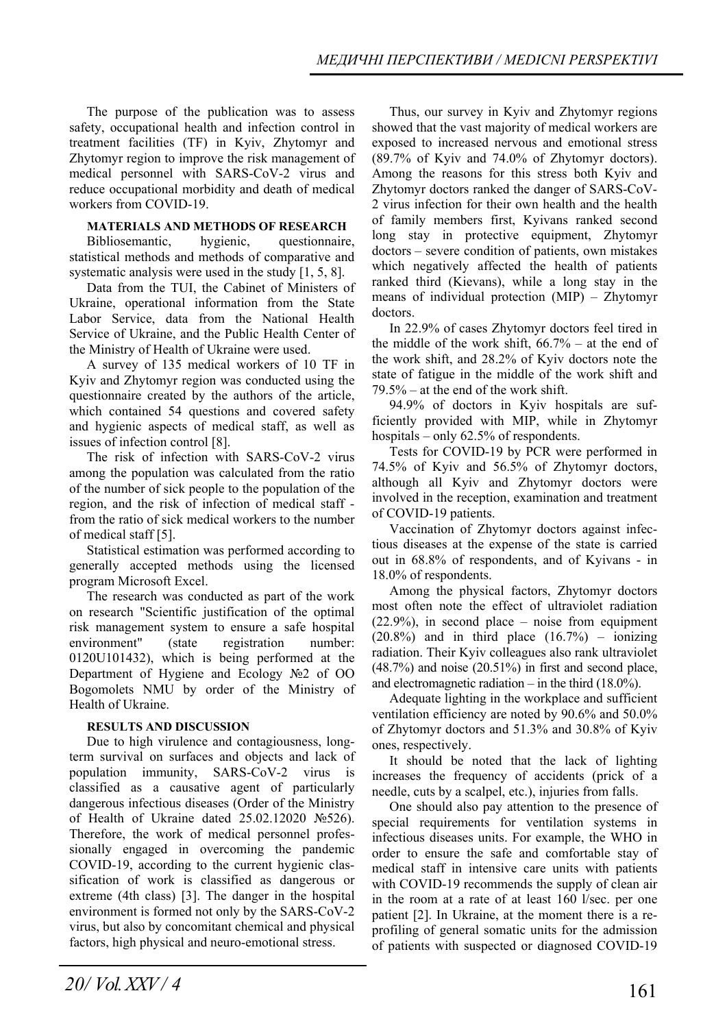The purpose of the publication was to assess safety, occupational health and infection control in treatment facilities (TF) in Kyiv, Zhytomyr and Zhytomyr region to improve the risk management of medical personnel with SARS-CoV-2 virus and reduce occupational morbidity and death of medical workers from COVID-19.

#### **MATERIALS AND METHODS OF RESEARCH**

Bibliosemantic, hygienic, questionnaire, statistical methods and methods of comparative and systematic analysis were used in the study [1, 5, 8].

Data from the TUI, the Cabinet of Ministers of Ukraine, operational information from the State Labor Service, data from the National Health Service of Ukraine, and the Public Health Center of the Ministry of Health of Ukraine were used.

A survey of 135 medical workers of 10 TF in Kyiv and Zhytomyr region was conducted using the questionnaire created by the authors of the article, which contained 54 questions and covered safety and hygienic aspects of medical staff, as well as issues of infection control [8].

The risk of infection with SARS-CoV-2 virus among the population was calculated from the ratio of the number of sick people to the population of the region, and the risk of infection of medical staff from the ratio of sick medical workers to the number of medical staff [5].

Statistical estimation was performed according to generally accepted methods using the licensed program Microsoft Excel.

The research was conducted as part of the work on research "Scientific justification of the optimal risk management system to ensure a safe hospital environment" (state registration number: 0120U101432), which is being performed at the Department of Hygiene and Ecology №2 of OO Bogomolets NMU by order of the Ministry of Health of Ukraine.

### **RESULTS AND DISCUSSION**

Due to high virulence and contagiousness, longterm survival on surfaces and objects and lack of population immunity, SARS-CoV-2 virus is classified as a causative agent of particularly dangerous infectious diseases (Order of the Ministry of Health of Ukraine dated 25.02.12020 №526). Therefore, the work of medical personnel professionally engaged in overcoming the pandemic COVID-19, according to the current hygienic classification of work is classified as dangerous or extreme (4th class) [3]. The danger in the hospital environment is formed not only by the SARS-CoV-2 virus, but also by concomitant chemical and physical factors, high physical and neuro-emotional stress.

Thus, our survey in Kyiv and Zhytomyr regions showed that the vast majority of medical workers are exposed to increased nervous and emotional stress (89.7% of Kyiv and 74.0% of Zhytomyr doctors). Among the reasons for this stress both Kyiv and Zhytomyr doctors ranked the danger of SARS-CoV-2 virus infection for their own health and the health of family members first, Kyivans ranked second long stay in protective equipment, Zhytomyr doctors – severe condition of patients, own mistakes which negatively affected the health of patients ranked third (Kievans), while a long stay in the means of individual protection (MIP) – Zhytomyr doctors.

In 22.9% of cases Zhytomyr doctors feel tired in the middle of the work shift,  $66.7%$  – at the end of the work shift, and 28.2% of Kyiv doctors note the state of fatigue in the middle of the work shift and 79.5% – at the end of the work shift.

94.9% of doctors in Kyiv hospitals are sufficiently provided with MIP, while in Zhytomyr hospitals – only 62.5% of respondents.

Tests for COVID-19 by PCR were performed in 74.5% of Kyiv and 56.5% of Zhytomyr doctors, although all Kyiv and Zhytomyr doctors were involved in the reception, examination and treatment of COVID-19 patients.

Vaccination of Zhytomyr doctors against infectious diseases at the expense of the state is carried out in 68.8% of respondents, and of Kyivans - in 18.0% of respondents.

Among the physical factors, Zhytomyr doctors most often note the effect of ultraviolet radiation (22.9%), in second place – noise from equipment  $(20.8\%)$  and in third place  $(16.7\%)$  – ionizing radiation. Their Kyiv colleagues also rank ultraviolet (48.7%) and noise (20.51%) in first and second place, and electromagnetic radiation – in the third  $(18.0\%)$ .

Adequate lighting in the workplace and sufficient ventilation efficiency are noted by 90.6% and 50.0% of Zhytomyr doctors and 51.3% and 30.8% of Kyiv ones, respectively.

It should be noted that the lack of lighting increases the frequency of accidents (prick of a needle, cuts by a scalpel, etc.), injuries from falls.

One should also pay attention to the presence of special requirements for ventilation systems in infectious diseases units. For example, the WHO in order to ensure the safe and comfortable stay of medical staff in intensive care units with patients with COVID-19 recommends the supply of clean air in the room at a rate of at least 160 l/sec. per one patient [2]. In Ukraine, at the moment there is a reprofiling of general somatic units for the admission of patients with suspected or diagnosed COVID-19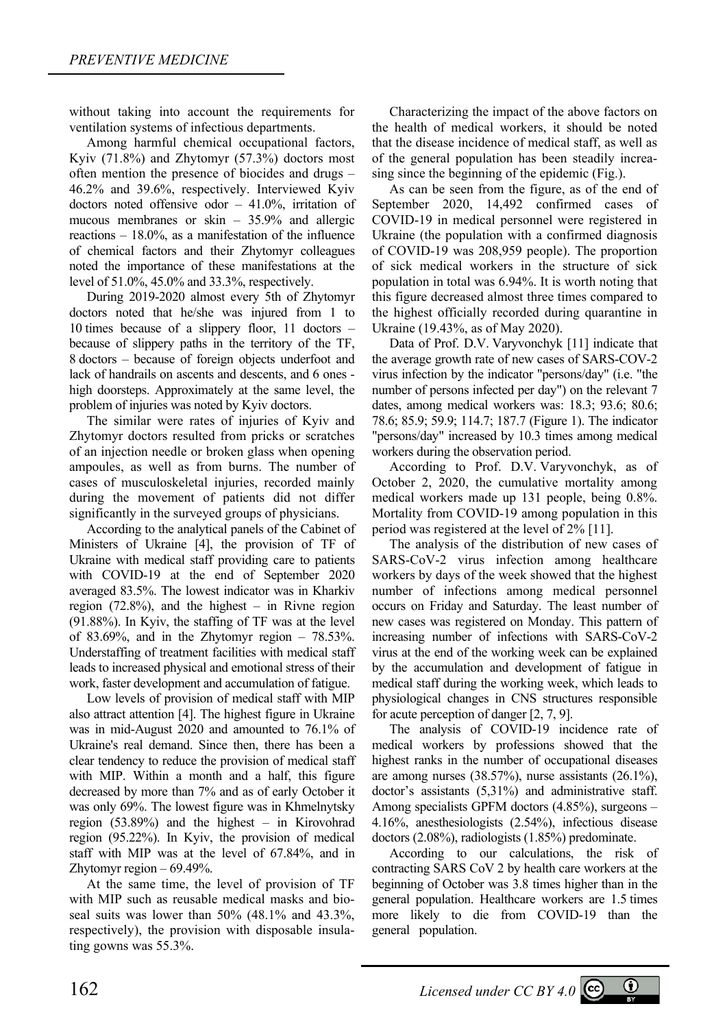without taking into account the requirements for ventilation systems of infectious departments.

Among harmful chemical occupational factors, Kyiv (71.8%) and Zhytomyr (57.3%) doctors most often mention the presence of biocides and drugs – 46.2% and 39.6%, respectively. Interviewed Kyiv doctors noted offensive odor  $-41.0\%$ , irritation of mucous membranes or skin – 35.9% and allergic reactions – 18.0%, as a manifestation of the influence of chemical factors and their Zhytomyr colleagues noted the importance of these manifestations at the level of 51.0%, 45.0% and 33.3%, respectively.

During 2019-2020 almost every 5th of Zhytomyr doctors noted that he/she was injured from 1 to 10 times because of a slippery floor, 11 doctors – because of slippery paths in the territory of the TF, 8 doctors – because of foreign objects underfoot and lack of handrails on ascents and descents, and 6 ones high doorsteps. Approximately at the same level, the problem of injuries was noted by Kyiv doctors.

The similar were rates of injuries of Kyiv and Zhytomyr doctors resulted from pricks or scratches of an injection needle or broken glass when opening ampoules, as well as from burns. The number of cases of musculoskeletal injuries, recorded mainly during the movement of patients did not differ significantly in the surveyed groups of physicians.

According to the analytical panels of the Cabinet of Ministers of Ukraine [4], the provision of TF of Ukraine with medical staff providing care to patients with COVID-19 at the end of September 2020 averaged 83.5%. The lowest indicator was in Kharkiv region  $(72.8\%)$ , and the highest – in Rivne region (91.88%). In Kyiv, the staffing of TF was at the level of 83.69%, and in the Zhytomyr region  $-78.53\%$ . Understaffing of treatment facilities with medical staff leads to increased physical and emotional stress of their work, faster development and accumulation of fatigue.

Low levels of provision of medical staff with MIP also attract attention [4]. The highest figure in Ukraine was in mid-August 2020 and amounted to 76.1% of Ukraine's real demand. Since then, there has been a clear tendency to reduce the provision of medical staff with MIP. Within a month and a half, this figure decreased by more than 7% and as of early October it was only 69%. The lowest figure was in Khmelnytsky region (53.89%) and the highest – in Kirovohrad region (95.22%). In Kyiv, the provision of medical staff with MIP was at the level of 67.84%, and in Zhytomyr region – 69.49%.

At the same time, the level of provision of TF with MIP such as reusable medical masks and bioseal suits was lower than 50% (48.1% and 43.3%, respectively), the provision with disposable insulating gowns was 55.3%.

Characterizing the impact of the above factors on the health of medical workers, it should be noted that the disease incidence of medical staff, as well as of the general population has been steadily increasing since the beginning of the epidemic (Fig.).

As can be seen from the figure, as of the end of September 2020, 14,492 confirmed cases of COVID-19 in medical personnel were registered in Ukraine (the population with a confirmed diagnosis of COVID-19 was 208,959 people). The proportion of sick medical workers in the structure of sick population in total was 6.94%. It is worth noting that this figure decreased almost three times compared to the highest officially recorded during quarantine in Ukraine (19.43%, as of May 2020).

Data of Prof. D.V. Varyvonchyk [11] indicate that the average growth rate of new cases of SARS-COV-2 virus infection by the indicator "persons/day" (i.e. "the number of persons infected per day") on the relevant 7 dates, among medical workers was: 18.3; 93.6; 80.6; 78.6; 85.9; 59.9; 114.7; 187.7 (Figure 1). The indicator "persons/day" increased by 10.3 times among medical workers during the observation period.

According to Prof. D.V. Varyvonchyk, as of October 2, 2020, the cumulative mortality among medical workers made up 131 people, being 0.8%. Mortality from COVID-19 among population in this period was registered at the level of 2% [11].

The analysis of the distribution of new cases of SARS-CoV-2 virus infection among healthcare workers by days of the week showed that the highest number of infections among medical personnel occurs on Friday and Saturday. The least number of new cases was registered on Monday. This pattern of increasing number of infections with SARS-CoV-2 virus at the end of the working week can be explained by the accumulation and development of fatigue in medical staff during the working week, which leads to physiological changes in CNS structures responsible for acute perception of danger [2, 7, 9].

The analysis of COVID-19 incidence rate of medical workers by professions showed that the highest ranks in the number of occupational diseases are among nurses (38.57%), nurse assistants (26.1%), doctor's assistants (5,31%) and administrative staff. Among specialists GPFM doctors (4.85%), surgeons – 4.16%, anesthesiologists (2.54%), infectious disease doctors (2.08%), radiologists (1.85%) predominate.

According to our calculations, the risk of contracting SARS CoV 2 by health care workers at the beginning of October was 3.8 times higher than in the general population. Healthcare workers are 1.5 times more likely to die from COVID-19 than the general population.

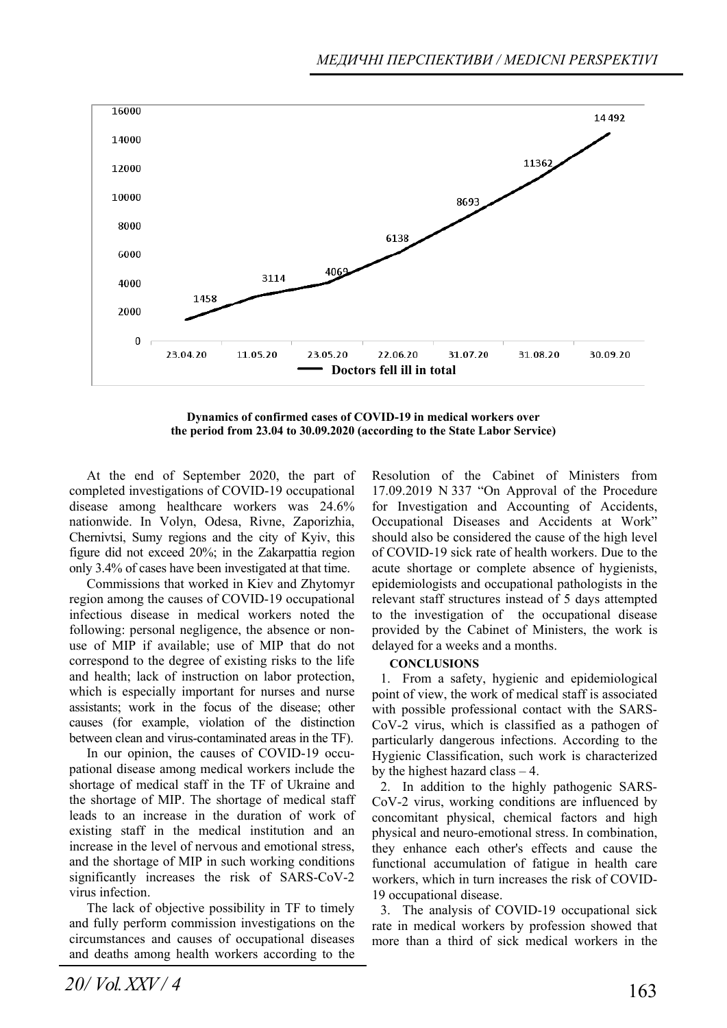

**Dynamics of confirmed cases of COVID-19 in medical workers over the period from 23.04 to 30.09.2020 (according to the State Labor Service)** 

At the end of September 2020, the part of completed investigations of COVID-19 occupational disease among healthcare workers was 24.6% nationwide. In Volyn, Odesa, Rivne, Zaporizhia, Chernivtsi, Sumy regions and the city of Kyiv, this figure did not exceed 20%; in the Zakarpattia region only 3.4% of cases have been investigated at that time.

Commissions that worked in Kiev and Zhytomyr region among the causes of COVID-19 occupational infectious disease in medical workers noted the following: personal negligence, the absence or nonuse of MIP if available; use of MIP that do not correspond to the degree of existing risks to the life and health; lack of instruction on labor protection, which is especially important for nurses and nurse assistants; work in the focus of the disease; other causes (for example, violation of the distinction between clean and virus-contaminated areas in the TF).

In our opinion, the causes of COVID-19 occupational disease among medical workers include the shortage of medical staff in the TF of Ukraine and the shortage of MIP. The shortage of medical staff leads to an increase in the duration of work of existing staff in the medical institution and an increase in the level of nervous and emotional stress, and the shortage of MIP in such working conditions significantly increases the risk of SARS-CoV-2 virus infection.

The lack of objective possibility in TF to timely and fully perform commission investigations on the circumstances and causes of occupational diseases and deaths among health workers according to the Resolution of the Cabinet of Ministers from 17.09.2019 N 337 "On Approval of the Procedure for Investigation and Accounting of Accidents, Occupational Diseases and Accidents at Work" should also be considered the cause of the high level of COVID-19 sick rate of health workers. Due to the acute shortage or complete absence of hygienists, epidemiologists and occupational pathologists in the relevant staff structures instead of 5 days attempted to the investigation of the occupational disease provided by the Cabinet of Ministers, the work is delayed for a weeks and a months.

#### **CONCLUSIONS**

1. From a safety, hygienic and epidemiological point of view, the work of medical staff is associated with possible professional contact with the SARS-CoV-2 virus, which is classified as a pathogen of particularly dangerous infections. According to the Hygienic Classification, such work is characterized by the highest hazard class – 4.

2. In addition to the highly pathogenic SARS-CoV-2 virus, working conditions are influenced by concomitant physical, chemical factors and high physical and neuro-emotional stress. In combination, they enhance each other's effects and cause the functional accumulation of fatigue in health care workers, which in turn increases the risk of COVID-19 occupational disease.

3. The analysis of COVID-19 occupational sick rate in medical workers by profession showed that more than a third of sick medical workers in the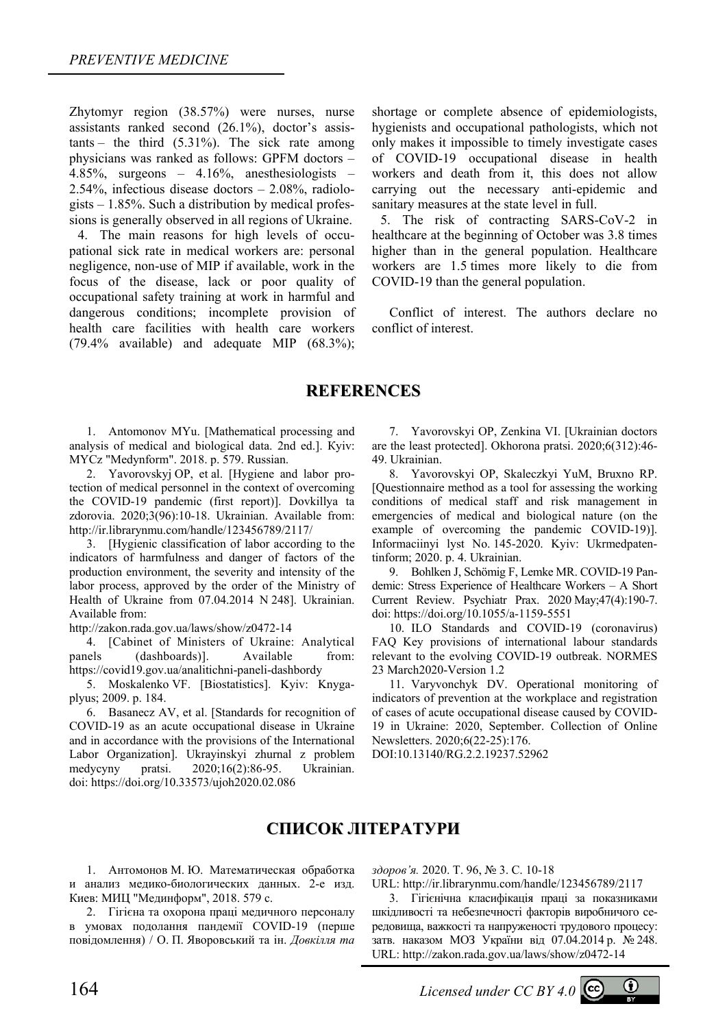Zhytomyr region (38.57%) were nurses, nurse assistants ranked second (26.1%), doctor's assistants – the third (5.31%). The sick rate among physicians was ranked as follows: GPFM doctors – 4.85%, surgeons – 4.16%, anesthesiologists – 2.54%, infectious disease doctors – 2.08%, radiologists  $-1.85\%$ . Such a distribution by medical professions is generally observed in all regions of Ukraine.

4. The main reasons for high levels of occupational sick rate in medical workers are: personal negligence, non-use of MIP if available, work in the focus of the disease, lack or poor quality of occupational safety training at work in harmful and dangerous conditions; incomplete provision of health care facilities with health care workers (79.4% available) and adequate MIP (68.3%);

shortage or complete absence of epidemiologists, hygienists and occupational pathologists, which not only makes it impossible to timely investigate cases of COVID-19 occupational disease in health workers and death from it, this does not allow carrying out the necessary anti-epidemic and sanitary measures at the state level in full.

5. The risk of contracting SARS-CoV-2 in healthcare at the beginning of October was 3.8 times higher than in the general population. Healthcare workers are 1.5 times more likely to die from COVID-19 than the general population.

Conflict of interest. The authors declare no conflict of interest.

## **REFERENCES**

1. Antomonov MYu. [Mathematical processing and analysis of medical and biological data. 2nd ed.]. Кyiv: MYCz "Medynform". 2018. р. 579. Russian.

2. Yavorovskyj ОР, et al. [Hygiene and labor protection of medical personnel in the context of overcoming the COVID-19 pandemic (first report)]. Dovkillya ta zdorovia. 2020;3(96):10-18. Ukrainian. Available from: http://ir.librarynmu.com/handle/123456789/2117/

3. [Hygienic classification of labor according to the indicators of harmfulness and danger of factors of the production environment, the severity and intensity of the labor process, approved by the order of the Ministry of Health of Ukraine from 07.04.2014 N 248]. Ukrainian. Available from:

http://zakon.rada.gov.ua/laws/show/z0472-14

4. [Cabinet of Ministers of Ukraine: Analytical panels (dashboards)]. Available from: https://covid19.gov.ua/analitichni-paneli-dashbordy

5. Moskalenko VF. [Biostatistics]. Kyiv: Knygaplyus; 2009. р. 184.

6. Basanecz AV, et al. [Standards for recognition of COVID-19 as an acute occupational disease in Ukraine and in accordance with the provisions of the International Labor Organization]. Ukrayinskyi zhurnal z problem medycyny pratsi. 2020;16(2):86-95. Ukrainian. doi: https://doi.org/10.33573/ujoh2020.02.086

7. Yavorovskyi OP, Zenkina VI. [Ukrainian doctors are the least protected]. Okhorona pratsi. 2020;6(312):46- 49. Ukrainian.

8. Yavorovskyi OP, Skaleczkyi YuM, Bruxno RP. [Questionnaire method as a tool for assessing the working conditions of medical staff and risk management in emergencies of medical and biological nature (on the example of overcoming the pandemic COVID-19)]. Informaciinyi lyst No. 145-2020. Kyiv: Ukrmedpatentinform; 2020. p. 4. Ukrainian.

9. Bohlken J, Schömig F, Lemke MR. COVID-19 Pandemic: Stress Experience of Healthcare Workers – A Short Current Review. Psychiatr Prax. 2020 May;47(4):190-7. doi: https://doi.org/10.1055/a-1159-5551

10. ILO Standards and COVID-19 (coronavirus) FAQ Key provisions of international labour standards relevant to the evolving COVID-19 outbreak. NORMES 23 March2020-Version 1.2

11. Varyvonchyk DV. Operational monitoring of indicators of prevention at the workplace and registration of cases of acute occupational disease caused by COVID-19 in Ukraine: 2020, September. Collection of Online Newsletters. 2020;6(22-25):176.

DOI:10.13140/RG.2.2.19237.52962

# **СПИСОК ЛІТЕРАТУРИ**

1. Антомонов М. Ю. Математическая обработка и анализ медико-биологических данных. 2-е изд. Киев: МИЦ "Мединформ", 2018. 579 с.

2. Гігієна та охорона праці медичного персоналу в умовах подолання пандемії COVID-19 (перше повідомлення) / О. П. Яворовський та ін. *Довкілля та* *здоров'я.* 2020. Т. 96, № 3. C. 10-18

URL: http://ir.librarynmu.com/handle/123456789/2117

3. Гігієнічна класифікація праці за показниками шкідливості та небезпечності факторів виробничого середовища, важкості та напруженості трудового процесу: затв. наказом МОЗ України від 07.04.2014 р. № 248. URL: http://zakon.rada.gov.ua/laws/show/z0472-14

164 *Licensed under CC BY 4.0*